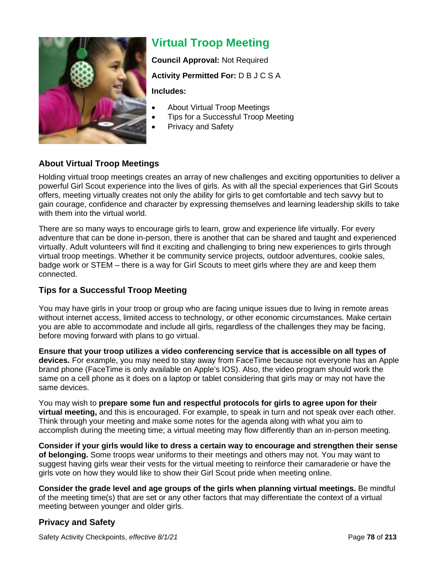

# **Virtual Troop Meeting**

**Council Approval:** Not Required

#### **Activity Permitted For:** D B J C S A

**Includes:**

- About Virtual Troop Meetings
- Tips for a Successful Troop Meeting
- Privacy and Safety

### **About Virtual Troop Meetings**

Holding virtual troop meetings creates an array of new challenges and exciting opportunities to deliver a powerful Girl Scout experience into the lives of girls. As with all the special experiences that Girl Scouts offers, meeting virtually creates not only the ability for girls to get comfortable and tech savvy but to gain courage, confidence and character by expressing themselves and learning leadership skills to take with them into the virtual world.

There are so many ways to encourage girls to learn, grow and experience life virtually. For every adventure that can be done in-person, there is another that can be shared and taught and experienced virtually. Adult volunteers will find it exciting and challenging to bring new experiences to girls through virtual troop meetings. Whether it be community service projects, outdoor adventures, cookie sales, badge work or STEM – there is a way for Girl Scouts to meet girls where they are and keep them connected.

#### **Tips for a Successful Troop Meeting**

You may have girls in your troop or group who are facing unique issues due to living in remote areas without internet access, limited access to technology, or other economic circumstances. Make certain you are able to accommodate and include all girls, regardless of the challenges they may be facing, before moving forward with plans to go virtual.

**Ensure that your troop utilizes a video conferencing service that is accessible on all types of devices.** For example, you may need to stay away from FaceTime because not everyone has an Apple brand phone (FaceTime is only available on Apple's IOS). Also, the video program should work the same on a cell phone as it does on a laptop or tablet considering that girls may or may not have the same devices.

You may wish to **prepare some fun and respectful protocols for girls to agree upon for their virtual meeting,** and this is encouraged. For example, to speak in turn and not speak over each other. Think through your meeting and make some notes for the agenda along with what you aim to accomplish during the meeting time; a virtual meeting may flow differently than an in-person meeting.

**Consider if your girls would like to dress a certain way to encourage and strengthen their sense of belonging.** Some troops wear uniforms to their meetings and others may not. You may want to suggest having girls wear their vests for the virtual meeting to reinforce their camaraderie or have the girls vote on how they would like to show their Girl Scout pride when meeting online.

**Consider the grade level and age groups of the girls when planning virtual meetings.** Be mindful of the meeting time(s) that are set or any other factors that may differentiate the context of a virtual meeting between younger and older girls.

## **Privacy and Safety**

Safety Activity Checkpoints, *effective 8/1/21* Page **78** of **213**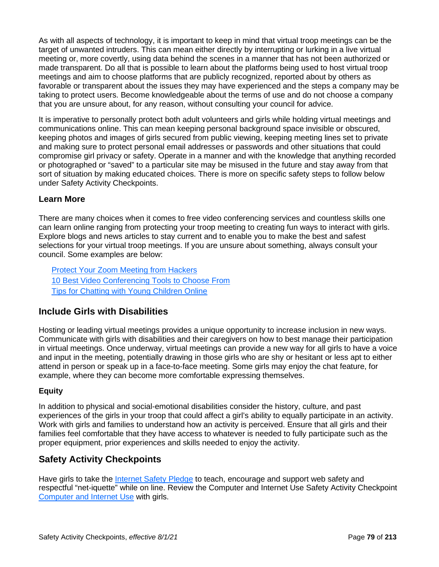As with all aspects of technology, it is important to keep in mind that virtual troop meetings can be the target of unwanted intruders. This can mean either directly by interrupting or lurking in a live virtual meeting or, more covertly, using data behind the scenes in a manner that has not been authorized or made transparent. Do all that is possible to learn about the platforms being used to host virtual troop meetings and aim to choose platforms that are publicly recognized, reported about by others as favorable or transparent about the issues they may have experienced and the steps a company may be taking to protect users. Become knowledgeable about the terms of use and do not choose a company that you are unsure about, for any reason, without consulting your council for advice.

It is imperative to personally protect both adult volunteers and girls while holding virtual meetings and communications online. This can mean keeping personal background space invisible or obscured, keeping photos and images of girls secured from public viewing, keeping meeting lines set to private and making sure to protect personal email addresses or passwords and other situations that could compromise girl privacy or safety. Operate in a manner and with the knowledge that anything recorded or photographed or "saved" to a particular site may be misused in the future and stay away from that sort of situation by making educated choices. There is more on specific safety steps to follow below under Safety Activity Checkpoints.

#### **Learn More**

There are many choices when it comes to free video conferencing services and countless skills one can learn online ranging from protecting your troop meeting to creating fun ways to interact with girls. Explore blogs and news articles to stay current and to enable you to make the best and safest selections for your virtual troop meetings. If you are unsure about something, always consult your council. Some examples are below:

Protect Your Zoom Meeting from Hackers 10 Best Video Conferencing Tools to Choose From Tips for Chatting with Young Children Online

## **Include Girls with Disabilities**

Hosting or leading virtual meetings provides a unique opportunity to increase inclusion in new ways. Communicate with girls with disabilities and their caregivers on how to best manage their participation in virtual meetings. Once underway, virtual meetings can provide a new way for all girls to have a voice and input in the meeting, potentially drawing in those girls who are shy or hesitant or less apt to either attend in person or speak up in a face-to-face meeting. Some girls may enjoy the chat feature, for example, where they can become more comfortable expressing themselves.

#### **Equity**

In addition to physical and social-emotional disabilities consider the history, culture, and past experiences of the girls in your troop that could affect a girl's ability to equally participate in an activity. Work with girls and families to understand how an activity is perceived. Ensure that all girls and their families feel comfortable that they have access to whatever is needed to fully participate such as the proper equipment, prior experiences and skills needed to enjoy the activity.

## **Safety Activity Checkpoints**

Have girls to take the Internet Safety Pledge to teach, encourage and support web safety and respectful "net-iquette" while on line. Review the Computer and Internet Use Safety Activity Checkpoint Computer and Internet Use with girls.